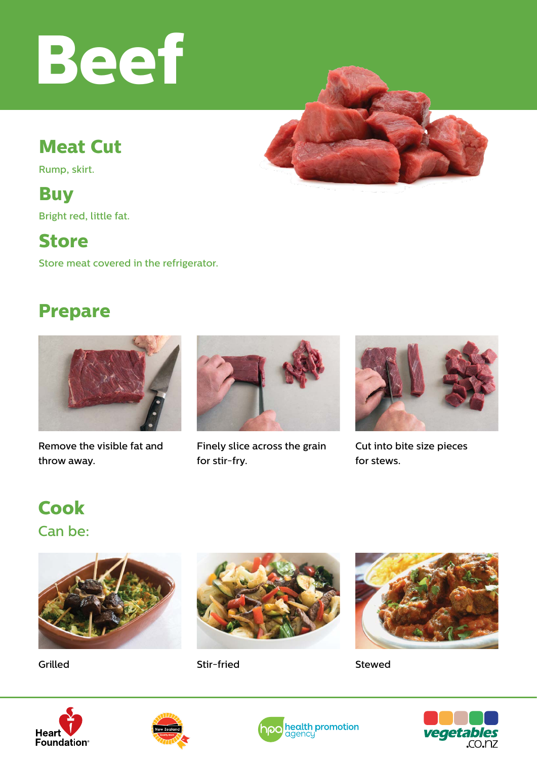# **Beef**

## **Meat Cut**

Rump, skirt.

#### **Buy**

Bright red, little fat.

#### **Store**

Store meat covered in the refrigerator.

### **Prepare**



Remove the visible fat and throw away.



Finely slice across the grain for stir-fry.



Cut into bite size pieces for stews.

Can be: **Cook**





Grilled Stir-fried



Stewed